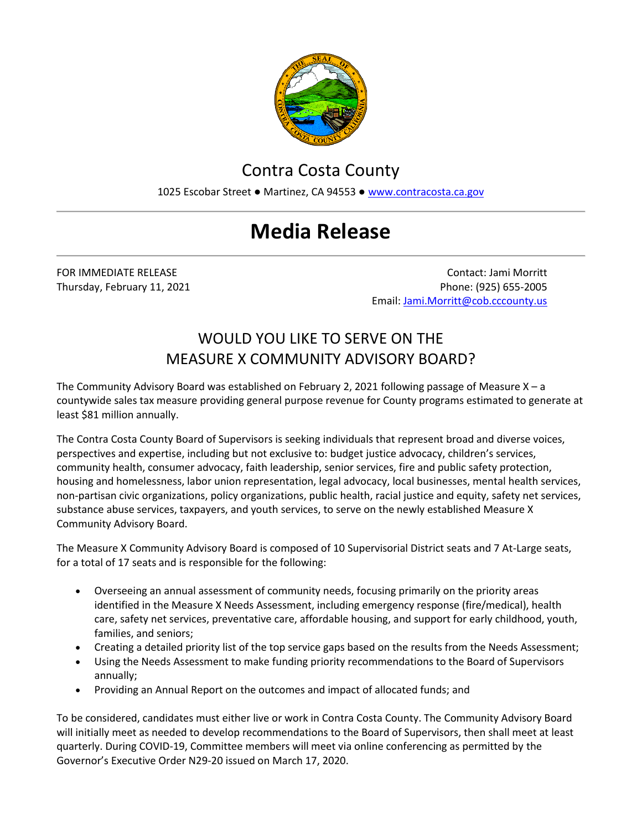

## Contra Costa County

1025 Escobar Street · Martinez, CA 94553 · [www.contracosta.ca.gov](http://www.contracosta.ca.gov/)

## **Media Release**

FOR IMMEDIATE RELEASE Contact: Jami Morritt Thursday, February 11, 2021 **Phone: (925) 655-2005** Phone: (925) 655-2005 Email[: Jami.Morritt@cob.cccounty.us](mailto:Jami.Morritt@cob.cccounty.us)

## WOULD YOU LIKE TO SERVE ON THE MEASURE X COMMUNITY ADVISORY BOARD?

The Community Advisory Board was established on February 2, 2021 following passage of Measure  $X - a$ countywide sales tax measure providing general purpose revenue for County programs estimated to generate at least \$81 million annually.

The Contra Costa County Board of Supervisors is seeking individuals that represent broad and diverse voices, perspectives and expertise, including but not exclusive to: budget justice advocacy, children's services, community health, consumer advocacy, faith leadership, senior services, fire and public safety protection, housing and homelessness, labor union representation, legal advocacy, local businesses, mental health services, non-partisan civic organizations, policy organizations, public health, racial justice and equity, safety net services, substance abuse services, taxpayers, and youth services, to serve on the newly established Measure X Community Advisory Board.

The Measure X Community Advisory Board is composed of 10 Supervisorial District seats and 7 At-Large seats, for a total of 17 seats and is responsible for the following:

- Overseeing an annual assessment of community needs, focusing primarily on the priority areas identified in the Measure X Needs Assessment, including emergency response (fire/medical), health care, safety net services, preventative care, affordable housing, and support for early childhood, youth, families, and seniors;
- Creating a detailed priority list of the top service gaps based on the results from the Needs Assessment;
- Using the Needs Assessment to make funding priority recommendations to the Board of Supervisors annually;
- Providing an Annual Report on the outcomes and impact of allocated funds; and

To be considered, candidates must either live or work in Contra Costa County. The Community Advisory Board will initially meet as needed to develop recommendations to the Board of Supervisors, then shall meet at least quarterly. During COVID-19, Committee members will meet via online conferencing as permitted by the Governor's Executive Order N29-20 issued on March 17, 2020.